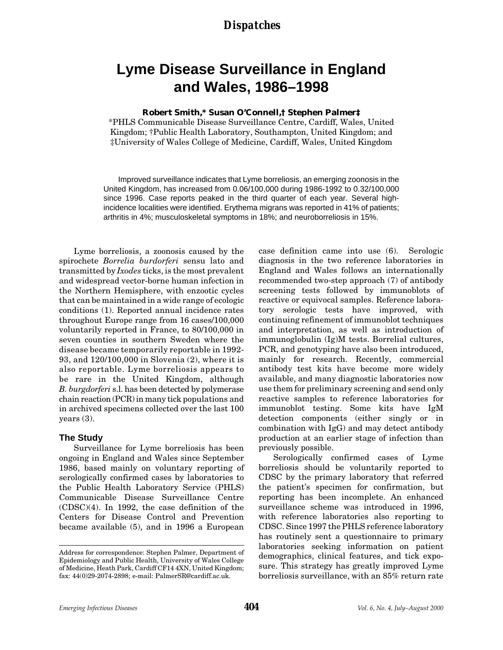### *Dispatches*

# **Lyme Disease Surveillance in England and Wales, 1986–1998**

#### **Robert Smith,\* Susan O'Connell,† Stephen Palmer‡**

\*PHLS Communicable Disease Surveillance Centre, Cardiff, Wales, United Kingdom; †Public Health Laboratory, Southampton, United Kingdom; and ‡University of Wales College of Medicine, Cardiff, Wales, United Kingdom

Improved surveillance indicates that Lyme borreliosis, an emerging zoonosis in the United Kingdom, has increased from 0.06/100,000 during 1986-1992 to 0.32/100,000 since 1996. Case reports peaked in the third quarter of each year. Several highincidence localities were identified. Erythema migrans was reported in 41% of patients; arthritis in 4%; musculoskeletal symptoms in 18%; and neuroborreliosis in 15%.

Lyme borreliosis, a zoonosis caused by the spirochete *Borrelia burdorferi* sensu lato and transmitted by *Ixodes* ticks, is the most prevalent and widespread vector-borne human infection in the Northern Hemisphere, with enzootic cycles that can be maintained in a wide range of ecologic conditions (1). Reported annual incidence rates throughout Europe range from 16 cases/100,000 voluntarily reported in France, to 80/100,000 in seven counties in southern Sweden where the disease became temporarily reportable in 1992- 93, and 120/100,000 in Slovenia (2), where it is also reportable. Lyme borreliosis appears to be rare in the United Kingdom, although *B. burgdorferi* s.l. has been detected by polymerase chain reaction (PCR) in many tick populations and in archived specimens collected over the last 100 years (3).

#### **The Study**

Surveillance for Lyme borreliosis has been ongoing in England and Wales since September 1986, based mainly on voluntary reporting of serologically confirmed cases by laboratories to the Public Health Laboratory Service (PHLS) Communicable Disease Surveillance Centre (CDSC)(4). In 1992, the case definition of the Centers for Disease Control and Prevention became available (5), and in 1996 a European

case definition came into use (6). Serologic diagnosis in the two reference laboratories in England and Wales follows an internationally recommended two-step approach (7) of antibody screening tests followed by immunoblots of reactive or equivocal samples. Reference laboratory serologic tests have improved, with continuing refinement of immunoblot techniques and interpretation, as well as introduction of immunoglobulin (Ig)M tests. Borrelial cultures, PCR, and genotyping have also been introduced, mainly for research. Recently, commercial antibody test kits have become more widely available, and many diagnostic laboratories now use them for preliminary screening and send only reactive samples to reference laboratories for immunoblot testing. Some kits have IgM detection components (either singly or in combination with IgG) and may detect antibody production at an earlier stage of infection than previously possible.

Serologically confirmed cases of Lyme borreliosis should be voluntarily reported to CDSC by the primary laboratory that referred the patient's specimen for confirmation, but reporting has been incomplete. An enhanced surveillance scheme was introduced in 1996, with reference laboratories also reporting to CDSC. Since 1997 the PHLS reference laboratory has routinely sent a questionnaire to primary laboratories seeking information on patient demographics, clinical features, and tick exposure. This strategy has greatly improved Lyme borreliosis surveillance, with an 85% return rate

Address for correspondence: Stephen Palmer, Department of Epidemiology and Public Health, University of Wales College of Medicine, Heath Park, Cardiff CF14 4XN, United Kingdom; fax: 44(0)29-2074-2898; e-mail: PalmerSR@cardiff.ac.uk.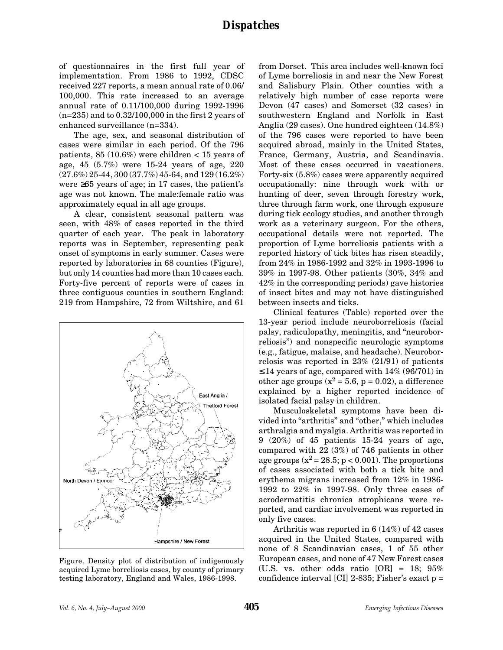of questionnaires in the first full year of implementation. From 1986 to 1992, CDSC received 227 reports, a mean annual rate of 0.06/ 100,000. This rate increased to an average annual rate of 0.11/100,000 during 1992-1996  $(n=235)$  and to  $0.32/100,000$  in the first 2 years of enhanced surveillance (n=334).

The age, sex, and seasonal distribution of cases were similar in each period. Of the 796 patients, 85 (10.6%) were children < 15 years of age, 45 (5.7%) were 15-24 years of age, 220 (27.6%) 25-44, 300 (37.7%) 45-64, and 129 (16.2%) were ≥65 years of age; in 17 cases, the patient's age was not known. The male:female ratio was approximately equal in all age groups.

A clear, consistent seasonal pattern was seen, with 48% of cases reported in the third quarter of each year. The peak in laboratory reports was in September, representing peak onset of symptoms in early summer. Cases were reported by laboratories in 68 counties (Figure), but only 14 counties had more than 10 cases each. Forty-five percent of reports were of cases in three contiguous counties in southern England: 219 from Hampshire, 72 from Wiltshire, and 61



Figure. Density plot of distribution of indigenously acquired Lyme borreliosis cases, by county of primary testing laboratory, England and Wales, 1986-1998.

from Dorset. This area includes well-known foci of Lyme borreliosis in and near the New Forest and Salisbury Plain. Other counties with a relatively high number of case reports were Devon (47 cases) and Somerset (32 cases) in southwestern England and Norfolk in East Anglia (29 cases). One hundred eighteen (14.8%) of the 796 cases were reported to have been acquired abroad, mainly in the United States, France, Germany, Austria, and Scandinavia. Most of these cases occurred in vacationers. Forty-six (5.8%) cases were apparently acquired occupationally: nine through work with or hunting of deer, seven through forestry work, three through farm work, one through exposure during tick ecology studies, and another through work as a veterinary surgeon. For the others, occupational details were not reported. The proportion of Lyme borreliosis patients with a reported history of tick bites has risen steadily, from 24% in 1986-1992 and 32% in 1993-1996 to 39% in 1997-98. Other patients (30%, 34% and 42% in the corresponding periods) gave histories of insect bites and may not have distinguished between insects and ticks.

Clinical features (Table) reported over the 13-year period include neuroborreliosis (facial palsy, radiculopathy, meningitis, and "neuroborreliosis") and nonspecific neurologic symptoms (e.g., fatigue, malaise, and headache). Neuroborrelosis was reported in 23% (21/91) of patients  $\leq$  14 years of age, compared with 14% (96/701) in other age groups ( $x^2 = 5.6$ , p = 0.02), a difference explained by a higher reported incidence of isolated facial palsy in children.

Musculoskeletal symptoms have been divided into "arthritis" and "other," which includes arthralgia and myalgia. Arthritis was reported in 9 (20%) of 45 patients 15-24 years of age, compared with 22 (3%) of 746 patients in other age groups  $(x^2 = 28.5; p < 0.001)$ . The proportions of cases associated with both a tick bite and erythema migrans increased from 12% in 1986- 1992 to 22% in 1997-98. Only three cases of acrodermatitis chronica atrophicans were reported, and cardiac involvement was reported in only five cases.

Arthritis was reported in 6 (14%) of 42 cases acquired in the United States, compared with none of 8 Scandinavian cases, 1 of 55 other European cases, and none of 47 New Forest cases (U.S. vs. other odds ratio [OR] = 18; 95% confidence interval [CI] 2-835; Fisher's exact p =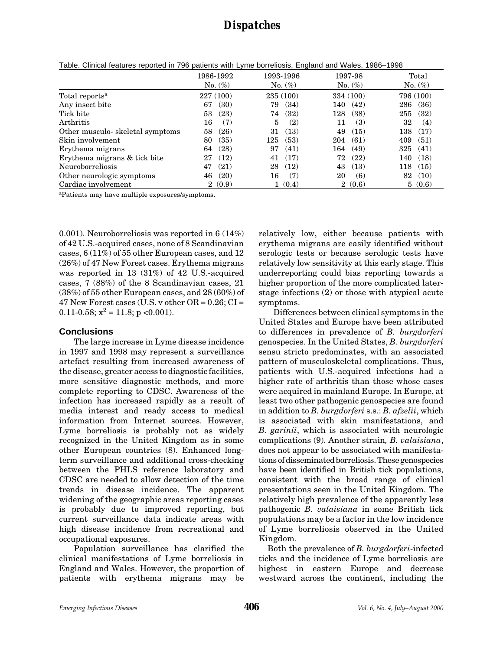## *Dispatches*

|                                 | 1986-1992       | 1993-1996  | 1997-98              | Total      |
|---------------------------------|-----------------|------------|----------------------|------------|
|                                 | $No. (\%)$      | $No. (\%)$ | $No. (\%)$           | No. $(\%)$ |
| Total reports <sup>a</sup>      | 227 (100)       | 235 (100)  | 334 (100)            | 796 (100)  |
| Any insect bite                 | (30)            | 79         | (42)                 | 286        |
|                                 | 67              | (34)       | 140                  | (36)       |
| Tick bite                       | (23)            | (32)       | (38)                 | (32)       |
|                                 | 53              | 74         | 128                  | 255        |
| Arthritis                       | (7)             | 5          | (3)                  | 32         |
|                                 | 16              | (2)        | 11                   | (4)        |
| Other musculo-skeletal symptoms | 58              | (13)       | 49                   | (17)       |
|                                 | (26)            | 31         | (15)                 | $^{138}\:$ |
| Skin involvement                | (35)            | (53)       | 204                  | (51)       |
|                                 | 80              | 125        | (61)                 | 409        |
| Erythema migrans                | (28)            | 97         | (49)                 | (41)       |
|                                 | 64              | (41)       | 164                  | 325        |
| Erythema migrans & tick bite    | (12)            | (17)       | (22)                 | (18)       |
|                                 | 27              | 41         | 72                   | 140        |
| Neuroborreliosis                | (21)            | (12)       | 43                   | 118        |
|                                 | 47              | 28         | (13)                 | (15)       |
| Other neurologic symptoms       | (20)            | 16         | (6)                  | 82         |
|                                 | 46              | (7)        | 20                   | (10)       |
| Cardiac involvement             | (0.9)<br>$^{2}$ | (0.4)      | (0.6)<br>$2^{\circ}$ | 5(0.6)     |

Table. Clinical features reported in 796 patients with Lyme borreliosis, England and Wales, 1986–1998

aPatients may have multiple exposures/symptoms.

0.001). Neuroborreliosis was reported in 6 (14%) of 42 U.S.-acquired cases, none of 8 Scandinavian cases, 6 (11%) of 55 other European cases, and 12 (26%) of 47 New Forest cases. Erythema migrans was reported in 13 (31%) of 42 U.S.-acquired cases, 7 (88%) of the 8 Scandinavian cases, 21 (38%) of 55 other European cases, and 28 (60%) of 47 New Forest cases (U.S. v other  $OR = 0.26$ ;  $CI =$ 0.11-0.58;  $x^2 = 11.8$ ; p <0.001).

### **Conclusions**

The large increase in Lyme disease incidence in 1997 and 1998 may represent a surveillance artefact resulting from increased awareness of the disease, greater access to diagnostic facilities, more sensitive diagnostic methods, and more complete reporting to CDSC. Awareness of the infection has increased rapidly as a result of media interest and ready access to medical information from Internet sources. However, Lyme borreliosis is probably not as widely recognized in the United Kingdom as in some other European countries (8). Enhanced longterm surveillance and additional cross-checking between the PHLS reference laboratory and CDSC are needed to allow detection of the time trends in disease incidence. The apparent widening of the geographic areas reporting cases is probably due to improved reporting, but current surveillance data indicate areas with high disease incidence from recreational and occupational exposures.

Population surveillance has clarified the clinical manifestations of Lyme borreliosis in England and Wales. However, the proportion of patients with erythema migrans may be

relatively low, either because patients with erythema migrans are easily identified without serologic tests or because serologic tests have relatively low sensitivity at this early stage. This underreporting could bias reporting towards a higher proportion of the more complicated laterstage infections (2) or those with atypical acute symptoms.

Differences between clinical symptoms in the United States and Europe have been attributed to differences in prevalence of *B. burgdorferi* genospecies. In the United States, *B. burgdorferi* sensu stricto predominates, with an associated pattern of musculoskeletal complications. Thus, patients with U.S.-acquired infections had a higher rate of arthritis than those whose cases were acquired in mainland Europe. In Europe, at least two other pathogenic genospecies are found in addition to *B. burgdorferi* s.s.: *B. afzelii*, which is associated with skin manifestations, and *B. garinii*, which is associated with neurologic complications (9). Another strain*, B. valaisiana*, does not appear to be associated with manifestations of disseminated borreliosis. These genospecies have been identified in British tick populations, consistent with the broad range of clinical presentations seen in the United Kingdom. The relatively high prevalence of the apparently less pathogenic *B. valaisiana* in some British tick populations may be a factor in the low incidence of Lyme borreliosis observed in the United Kingdom.

 Both the prevalence of *B. burgdorferi*-infected ticks and the incidence of Lyme borreliosis are highest in eastern Europe and decrease westward across the continent, including the